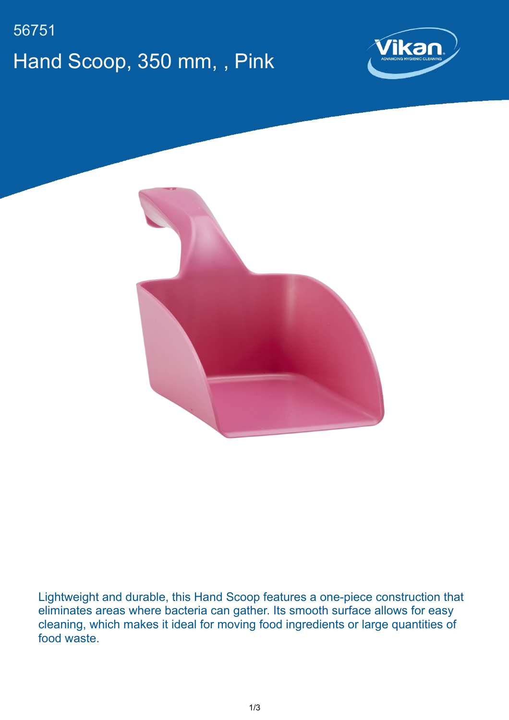## 56751 Hand Scoop, 350 mm, , Pink





Lightweight and durable, this Hand Scoop features a one-piece construction that eliminates areas where bacteria can gather. Its smooth surface allows for easy cleaning, which makes it ideal for moving food ingredients or large quantities of food waste.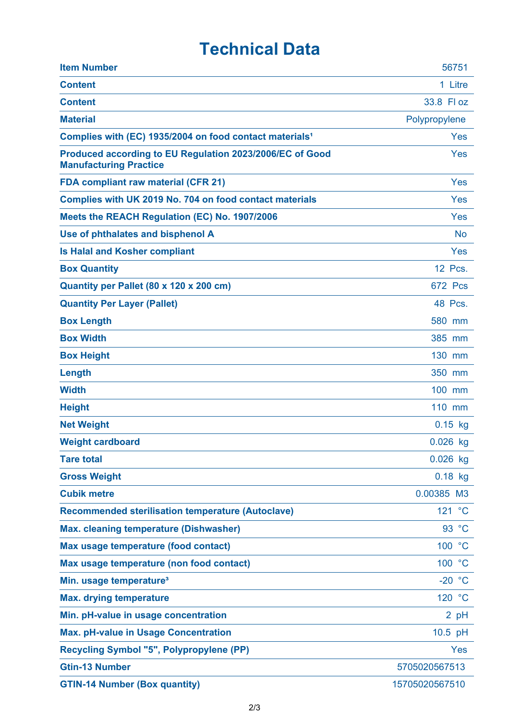## **Technical Data**

| <b>Item Number</b>                                                                        | 56751          |
|-------------------------------------------------------------------------------------------|----------------|
| <b>Content</b>                                                                            | 1 Litre        |
| <b>Content</b>                                                                            | 33.8 Fl oz     |
| <b>Material</b>                                                                           | Polypropylene  |
| Complies with (EC) 1935/2004 on food contact materials <sup>1</sup>                       | Yes            |
| Produced according to EU Regulation 2023/2006/EC of Good<br><b>Manufacturing Practice</b> | Yes            |
| <b>FDA compliant raw material (CFR 21)</b>                                                | Yes            |
| Complies with UK 2019 No. 704 on food contact materials                                   | Yes            |
| Meets the REACH Regulation (EC) No. 1907/2006                                             | Yes            |
| Use of phthalates and bisphenol A                                                         | <b>No</b>      |
| <b>Is Halal and Kosher compliant</b>                                                      | Yes            |
| <b>Box Quantity</b>                                                                       | 12 Pcs.        |
| Quantity per Pallet (80 x 120 x 200 cm)                                                   | <b>672 Pcs</b> |
| <b>Quantity Per Layer (Pallet)</b>                                                        | 48 Pcs.        |
| <b>Box Length</b>                                                                         | 580 mm         |
| <b>Box Width</b>                                                                          | 385 mm         |
| <b>Box Height</b>                                                                         | 130 mm         |
| Length                                                                                    | 350 mm         |
| <b>Width</b>                                                                              | 100 mm         |
| <b>Height</b>                                                                             | 110 mm         |
| <b>Net Weight</b>                                                                         | $0.15$ kg      |
| <b>Weight cardboard</b>                                                                   | $0.026$ kg     |
| <b>Tare total</b>                                                                         | $0.026$ kg     |
| <b>Gross Weight</b>                                                                       | $0.18$ kg      |
| <b>Cubik metre</b>                                                                        | 0.00385 M3     |
| <b>Recommended sterilisation temperature (Autoclave)</b>                                  | 121 °C         |
| <b>Max. cleaning temperature (Dishwasher)</b>                                             | 93 °C          |
| Max usage temperature (food contact)                                                      | 100 °C         |
| Max usage temperature (non food contact)                                                  | 100 °C         |
| Min. usage temperature <sup>3</sup>                                                       | $-20 °C$       |
| <b>Max. drying temperature</b>                                                            | 120 °C         |
| Min. pH-value in usage concentration                                                      | 2 pH           |
| <b>Max. pH-value in Usage Concentration</b>                                               | 10.5 pH        |
| <b>Recycling Symbol "5", Polypropylene (PP)</b>                                           | Yes            |
| <b>Gtin-13 Number</b>                                                                     | 5705020567513  |
| <b>GTIN-14 Number (Box quantity)</b>                                                      | 15705020567510 |